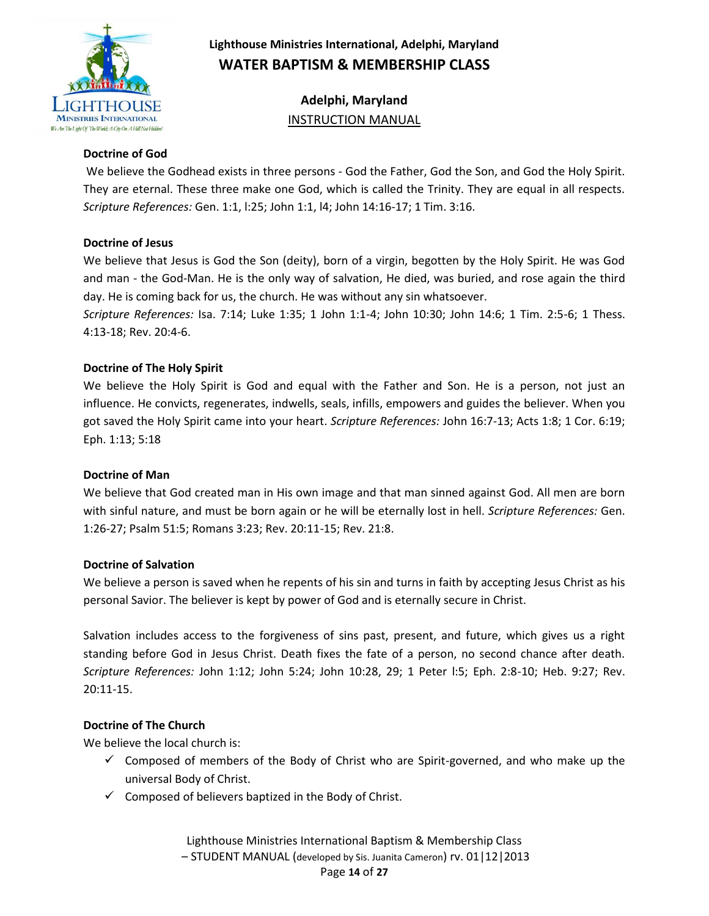

**Adelphi, Maryland** INSTRUCTION MANUAL

#### **Doctrine of God**

We believe the Godhead exists in three persons - God the Father, God the Son, and God the Holy Spirit. They are eternal. These three make one God, which is called the Trinity. They are equal in all respects. *Scripture References:* Gen. 1:1, l:25; John 1:1, l4; John 14:16-17; 1 Tim. 3:16.

#### **Doctrine of Jesus**

We believe that Jesus is God the Son (deity), born of a virgin, begotten by the Holy Spirit. He was God and man - the God-Man. He is the only way of salvation, He died, was buried, and rose again the third day. He is coming back for us, the church. He was without any sin whatsoever.

*Scripture References:* Isa. 7:14; Luke 1:35; 1 John 1:1-4; John 10:30; John 14:6; 1 Tim. 2:5-6; 1 Thess. 4:13-18; Rev. 20:4-6.

#### **Doctrine of The Holy Spirit**

We believe the Holy Spirit is God and equal with the Father and Son. He is a person, not just an influence. He convicts, regenerates, indwells, seals, infills, empowers and guides the believer. When you got saved the Holy Spirit came into your heart. *Scripture References:* John 16:7-13; Acts 1:8; 1 Cor. 6:19; Eph. 1:13; 5:18

#### **Doctrine of Man**

We believe that God created man in His own image and that man sinned against God. All men are born with sinful nature, and must be born again or he will be eternally lost in hell. *Scripture References:* Gen. 1:26-27; Psalm 51:5; Romans 3:23; Rev. 20:11-15; Rev. 21:8.

#### **Doctrine of Salvation**

We believe a person is saved when he repents of his sin and turns in faith by accepting Jesus Christ as his personal Savior. The believer is kept by power of God and is eternally secure in Christ.

Salvation includes access to the forgiveness of sins past, present, and future, which gives us a right standing before God in Jesus Christ. Death fixes the fate of a person, no second chance after death. *Scripture References:* John 1:12; John 5:24; John 10:28, 29; 1 Peter l:5; Eph. 2:8-10; Heb. 9:27; Rev. 20:11-15.

### **Doctrine of The Church**

We believe the local church is:

- $\checkmark$  Composed of members of the Body of Christ who are Spirit-governed, and who make up the universal Body of Christ.
- $\checkmark$  Composed of believers baptized in the Body of Christ.

Lighthouse Ministries International Baptism & Membership Class – STUDENT MANUAL (developed by Sis. Juanita Cameron) rv. 01|12|2013 Page **14** of **27**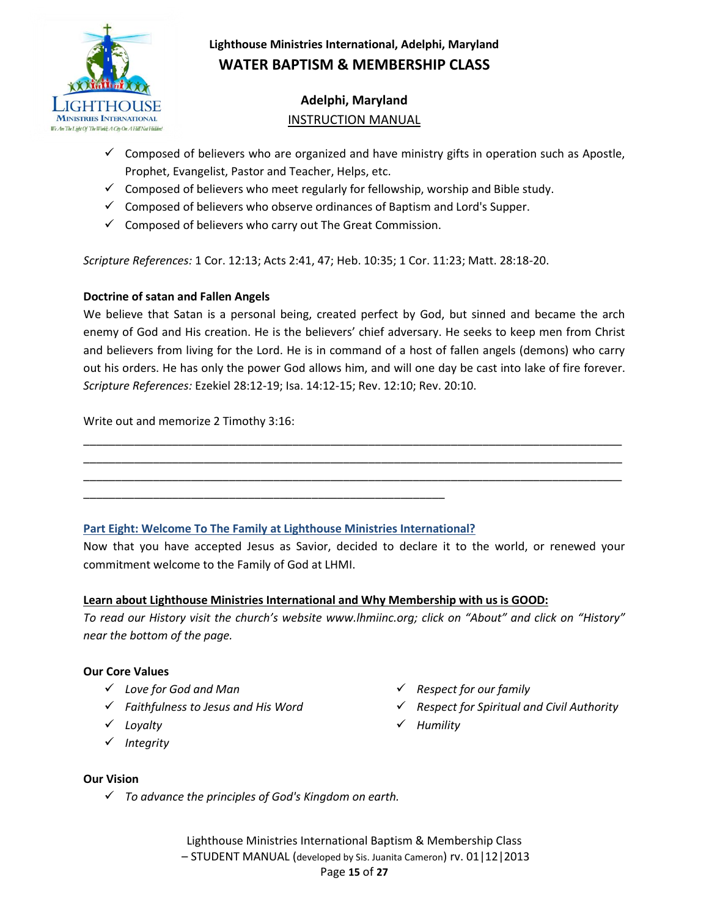

# **Adelphi, Maryland** INSTRUCTION MANUAL

- $\checkmark$  Composed of believers who are organized and have ministry gifts in operation such as Apostle, Prophet, Evangelist, Pastor and Teacher, Helps, etc.
- $\checkmark$  Composed of believers who meet regularly for fellowship, worship and Bible study.
- $\checkmark$  Composed of believers who observe ordinances of Baptism and Lord's Supper.
- $\checkmark$  Composed of believers who carry out The Great Commission.

*Scripture References:* 1 Cor. 12:13; Acts 2:41, 47; Heb. 10:35; 1 Cor. 11:23; Matt. 28:18-20.

#### **Doctrine of satan and Fallen Angels**

We believe that Satan is a personal being, created perfect by God, but sinned and became the arch enemy of God and His creation. He is the believers' chief adversary. He seeks to keep men from Christ and believers from living for the Lord. He is in command of a host of fallen angels (demons) who carry out his orders. He has only the power God allows him, and will one day be cast into lake of fire forever. *Scripture References:* Ezekiel 28:12-19; Isa. 14:12-15; Rev. 12:10; Rev. 20:10.

\_\_\_\_\_\_\_\_\_\_\_\_\_\_\_\_\_\_\_\_\_\_\_\_\_\_\_\_\_\_\_\_\_\_\_\_\_\_\_\_\_\_\_\_\_\_\_\_\_\_\_\_\_\_\_\_\_\_\_\_\_\_\_\_\_\_\_\_\_\_\_\_\_\_\_\_\_\_\_\_\_\_\_\_\_ \_\_\_\_\_\_\_\_\_\_\_\_\_\_\_\_\_\_\_\_\_\_\_\_\_\_\_\_\_\_\_\_\_\_\_\_\_\_\_\_\_\_\_\_\_\_\_\_\_\_\_\_\_\_\_\_\_\_\_\_\_\_\_\_\_\_\_\_\_\_\_\_\_\_\_\_\_\_\_\_\_\_\_\_\_ \_\_\_\_\_\_\_\_\_\_\_\_\_\_\_\_\_\_\_\_\_\_\_\_\_\_\_\_\_\_\_\_\_\_\_\_\_\_\_\_\_\_\_\_\_\_\_\_\_\_\_\_\_\_\_\_\_\_\_\_\_\_\_\_\_\_\_\_\_\_\_\_\_\_\_\_\_\_\_\_\_\_\_\_\_

Write out and memorize 2 Timothy 3:16:

### **Part Eight: Welcome To The Family at Lighthouse Ministries International?**

\_\_\_\_\_\_\_\_\_\_\_\_\_\_\_\_\_\_\_\_\_\_\_\_\_\_\_\_\_\_\_\_\_\_\_\_\_\_\_\_\_\_\_\_\_\_\_\_\_\_\_\_\_\_\_\_\_

Now that you have accepted Jesus as Savior, decided to declare it to the world, or renewed your commitment welcome to the Family of God at LHMI.

#### **Learn about Lighthouse Ministries International and Why Membership with us is GOOD:**

*To read our History visit the church's website www.lhmiinc.org; click on "About" and click on "History" near the bottom of the page.*

#### **Our Core Values**

- *Love for God and Man*
- *Faithfulness to Jesus and His Word*
- *Loyalty*
- *Integrity*
- *Respect for our family*
- *Respect for Spiritual and Civil Authority*
- *Humility*

#### **Our Vision**

*To advance the principles of God's Kingdom on earth.*

Lighthouse Ministries International Baptism & Membership Class – STUDENT MANUAL (developed by Sis. Juanita Cameron) rv. 01|12|2013 Page **15** of **27**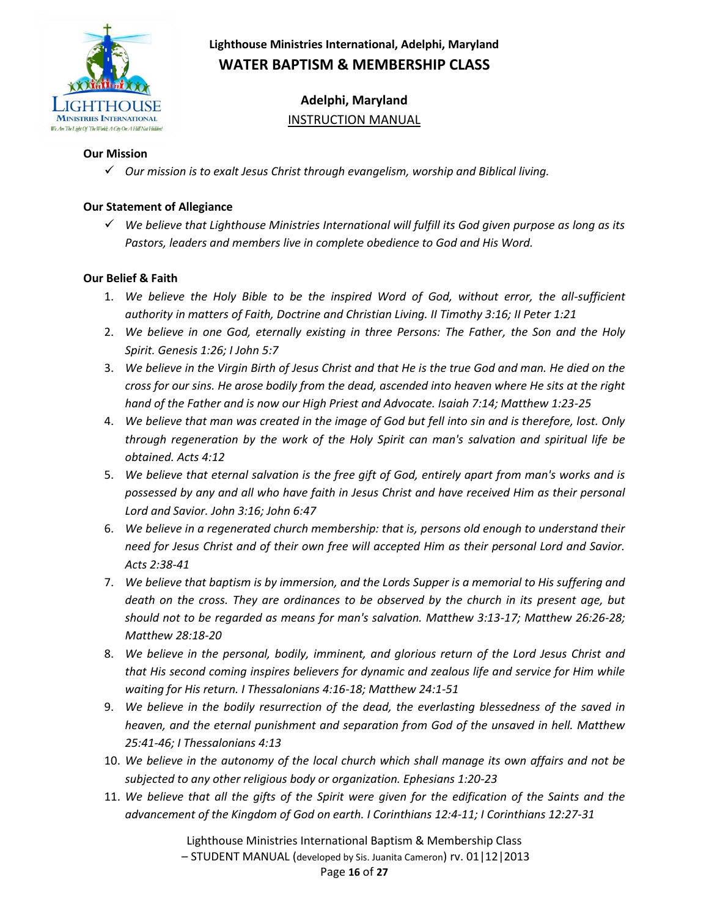

**Adelphi, Maryland** INSTRUCTION MANUAL

#### **Our Mission**

*Our mission is to exalt Jesus Christ through evangelism, worship and Biblical living.*

#### **Our Statement of Allegiance**

 *We believe that Lighthouse Ministries International will fulfill its God given purpose as long as its Pastors, leaders and members live in complete obedience to God and His Word.*

#### **Our Belief & Faith**

- 1. *We believe the Holy Bible to be the inspired Word of God, without error, the all-sufficient authority in matters of Faith, Doctrine and Christian Living. II Timothy 3:16; II Peter 1:21*
- 2. *We believe in one God, eternally existing in three Persons: The Father, the Son and the Holy Spirit. Genesis 1:26; I John 5:7*
- 3. *We believe in the Virgin Birth of Jesus Christ and that He is the true God and man. He died on the cross for our sins. He arose bodily from the dead, ascended into heaven where He sits at the right hand of the Father and is now our High Priest and Advocate. Isaiah 7:14; Matthew 1:23-25*
- 4. *We believe that man was created in the image of God but fell into sin and is therefore, lost. Only through regeneration by the work of the Holy Spirit can man's salvation and spiritual life be obtained. Acts 4:12*
- 5. *We believe that eternal salvation is the free gift of God, entirely apart from man's works and is possessed by any and all who have faith in Jesus Christ and have received Him as their personal Lord and Savior. John 3:16; John 6:47*
- 6. *We believe in a regenerated church membership: that is, persons old enough to understand their need for Jesus Christ and of their own free will accepted Him as their personal Lord and Savior. Acts 2:38-41*
- 7. *We believe that baptism is by immersion, and the Lords Supper is a memorial to His suffering and death on the cross. They are ordinances to be observed by the church in its present age, but should not to be regarded as means for man's salvation. Matthew 3:13-17; Matthew 26:26-28; Matthew 28:18-20*
- 8. *We believe in the personal, bodily, imminent, and glorious return of the Lord Jesus Christ and that His second coming inspires believers for dynamic and zealous life and service for Him while waiting for His return. I Thessalonians 4:16-18; Matthew 24:1-51*
- 9. *We believe in the bodily resurrection of the dead, the everlasting blessedness of the saved in heaven, and the eternal punishment and separation from God of the unsaved in hell. Matthew 25:41-46; I Thessalonians 4:13*
- 10. *We believe in the autonomy of the local church which shall manage its own affairs and not be subjected to any other religious body or organization. Ephesians 1:20-23*
- 11. *We believe that all the gifts of the Spirit were given for the edification of the Saints and the advancement of the Kingdom of God on earth. I Corinthians 12:4-11; I Corinthians 12:27-31*

Lighthouse Ministries International Baptism & Membership Class

– STUDENT MANUAL (developed by Sis. Juanita Cameron) rv. 01|12|2013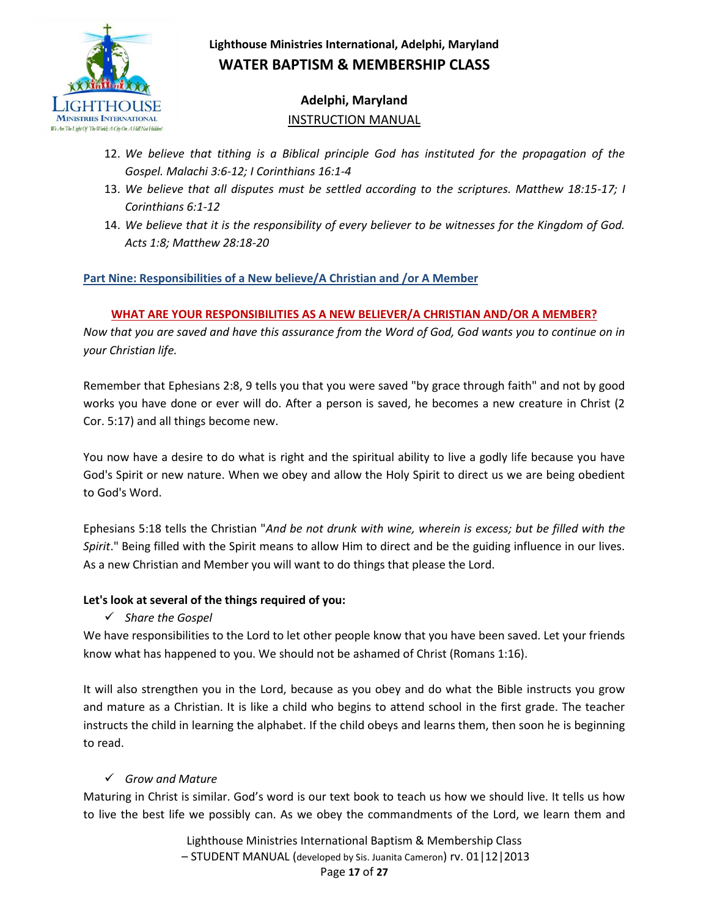

# **Adelphi, Maryland** INSTRUCTION MANUAL

- 12. *We believe that tithing is a Biblical principle God has instituted for the propagation of the Gospel. Malachi 3:6-12; I Corinthians 16:1-4*
- 13. *We believe that all disputes must be settled according to the scriptures. Matthew 18:15-17; I Corinthians 6:1-12*
- 14. *We believe that it is the responsibility of every believer to be witnesses for the Kingdom of God. Acts 1:8; Matthew 28:18-20*

## **Part Nine: Responsibilities of a New believe/A Christian and /or A Member**

## **WHAT ARE YOUR RESPONSIBILITIES AS A NEW BELIEVER/A CHRISTIAN AND/OR A MEMBER?**

*Now that you are saved and have this assurance from the Word of God, God wants you to continue on in your Christian life.* 

Remember that Ephesians 2:8, 9 tells you that you were saved "by grace through faith" and not by good works you have done or ever will do. After a person is saved, he becomes a new creature in Christ (2 Cor. 5:17) and all things become new.

You now have a desire to do what is right and the spiritual ability to live a godly life because you have God's Spirit or new nature. When we obey and allow the Holy Spirit to direct us we are being obedient to God's Word.

Ephesians 5:18 tells the Christian "*And be not drunk with wine, wherein is excess; but be filled with the Spirit*." Being filled with the Spirit means to allow Him to direct and be the guiding influence in our lives. As a new Christian and Member you will want to do things that please the Lord.

### **Let's look at several of the things required of you:**

*Share the Gospel*

We have responsibilities to the Lord to let other people know that you have been saved. Let your friends know what has happened to you. We should not be ashamed of Christ (Romans 1:16).

It will also strengthen you in the Lord, because as you obey and do what the Bible instructs you grow and mature as a Christian. It is like a child who begins to attend school in the first grade. The teacher instructs the child in learning the alphabet. If the child obeys and learns them, then soon he is beginning to read.

## *Grow and Mature*

Maturing in Christ is similar. God's word is our text book to teach us how we should live. It tells us how to live the best life we possibly can. As we obey the commandments of the Lord, we learn them and

> Lighthouse Ministries International Baptism & Membership Class – STUDENT MANUAL (developed by Sis. Juanita Cameron) rv. 01|12|2013 Page **17** of **27**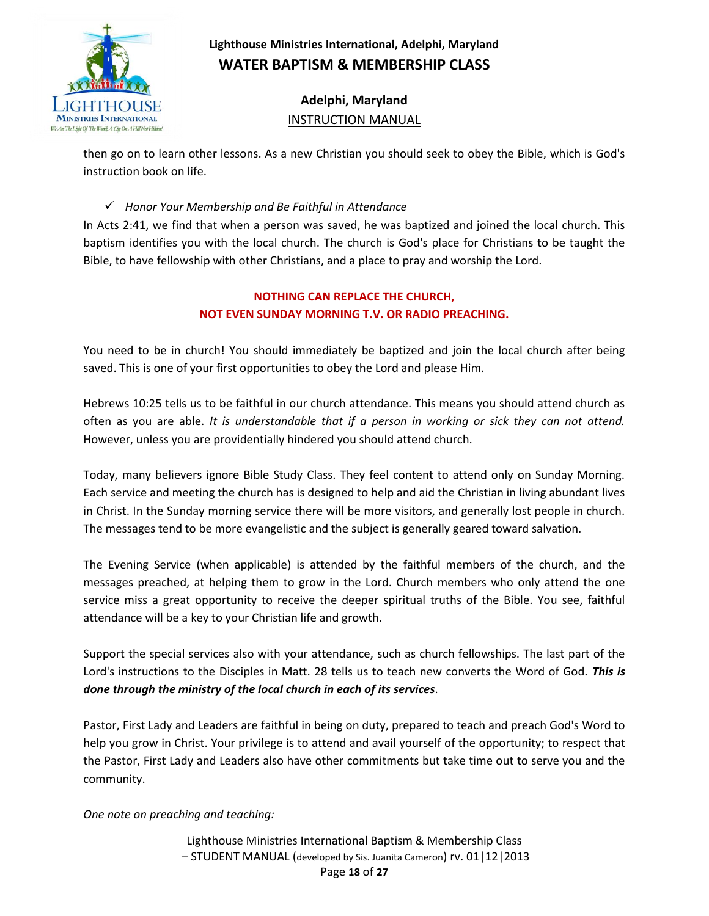

# **Adelphi, Maryland** INSTRUCTION MANUAL

then go on to learn other lessons. As a new Christian you should seek to obey the Bible, which is God's instruction book on life.

### *Honor Your Membership and Be Faithful in Attendance*

In Acts 2:41, we find that when a person was saved, he was baptized and joined the local church. This baptism identifies you with the local church. The church is God's place for Christians to be taught the Bible, to have fellowship with other Christians, and a place to pray and worship the Lord.

## **NOTHING CAN REPLACE THE CHURCH, NOT EVEN SUNDAY MORNING T.V. OR RADIO PREACHING.**

You need to be in church! You should immediately be baptized and join the local church after being saved. This is one of your first opportunities to obey the Lord and please Him.

Hebrews 10:25 tells us to be faithful in our church attendance. This means you should attend church as often as you are able. *It is understandable that if a person in working or sick they can not attend.* However, unless you are providentially hindered you should attend church.

Today, many believers ignore Bible Study Class. They feel content to attend only on Sunday Morning. Each service and meeting the church has is designed to help and aid the Christian in living abundant lives in Christ. In the Sunday morning service there will be more visitors, and generally lost people in church. The messages tend to be more evangelistic and the subject is generally geared toward salvation.

The Evening Service (when applicable) is attended by the faithful members of the church, and the messages preached, at helping them to grow in the Lord. Church members who only attend the one service miss a great opportunity to receive the deeper spiritual truths of the Bible. You see, faithful attendance will be a key to your Christian life and growth.

Support the special services also with your attendance, such as church fellowships. The last part of the Lord's instructions to the Disciples in Matt. 28 tells us to teach new converts the Word of God. *This is done through the ministry of the local church in each of its services*.

Pastor, First Lady and Leaders are faithful in being on duty, prepared to teach and preach God's Word to help you grow in Christ. Your privilege is to attend and avail yourself of the opportunity; to respect that the Pastor, First Lady and Leaders also have other commitments but take time out to serve you and the community.

*One note on preaching and teaching:*

Lighthouse Ministries International Baptism & Membership Class – STUDENT MANUAL (developed by Sis. Juanita Cameron) rv. 01|12|2013 Page **18** of **27**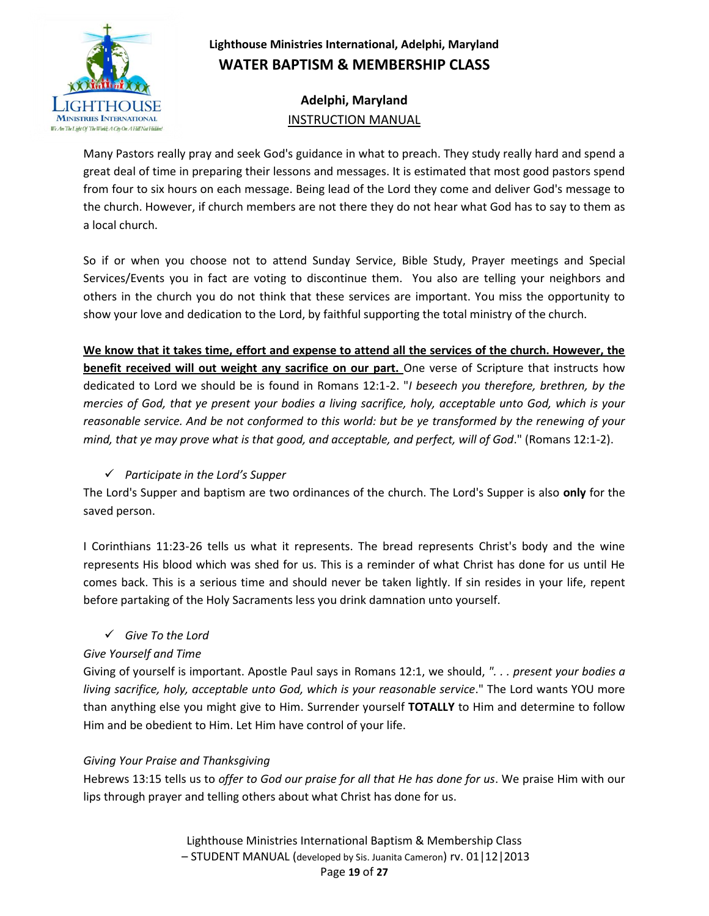

# **Adelphi, Maryland** INSTRUCTION MANUAL

Many Pastors really pray and seek God's guidance in what to preach. They study really hard and spend a great deal of time in preparing their lessons and messages. It is estimated that most good pastors spend from four to six hours on each message. Being lead of the Lord they come and deliver God's message to the church. However, if church members are not there they do not hear what God has to say to them as a local church.

So if or when you choose not to attend Sunday Service, Bible Study, Prayer meetings and Special Services/Events you in fact are voting to discontinue them. You also are telling your neighbors and others in the church you do not think that these services are important. You miss the opportunity to show your love and dedication to the Lord, by faithful supporting the total ministry of the church.

**We know that it takes time, effort and expense to attend all the services of the church. However, the benefit received will out weight any sacrifice on our part.** One verse of Scripture that instructs how dedicated to Lord we should be is found in Romans 12:1-2. "*I beseech you therefore, brethren, by the mercies of God, that ye present your bodies a living sacrifice, holy, acceptable unto God, which is your reasonable service. And be not conformed to this world: but be ye transformed by the renewing of your mind, that ye may prove what is that good, and acceptable, and perfect, will of God*." (Romans 12:1-2).

## *Participate in the Lord's Supper*

The Lord's Supper and baptism are two ordinances of the church. The Lord's Supper is also **only** for the saved person.

I Corinthians 11:23-26 tells us what it represents. The bread represents Christ's body and the wine represents His blood which was shed for us. This is a reminder of what Christ has done for us until He comes back. This is a serious time and should never be taken lightly. If sin resides in your life, repent before partaking of the Holy Sacraments less you drink damnation unto yourself.

## *Give To the Lord*

## *Give Yourself and Time*

Giving of yourself is important. Apostle Paul says in Romans 12:1, we should, *". . . present your bodies a living sacrifice, holy, acceptable unto God, which is your reasonable service*." The Lord wants YOU more than anything else you might give to Him. Surrender yourself **TOTALLY** to Him and determine to follow Him and be obedient to Him. Let Him have control of your life.

## *Giving Your Praise and Thanksgiving*

Hebrews 13:15 tells us to *offer to God our praise for all that He has done for us*. We praise Him with our lips through prayer and telling others about what Christ has done for us.

> Lighthouse Ministries International Baptism & Membership Class – STUDENT MANUAL (developed by Sis. Juanita Cameron) rv. 01|12|2013 Page **19** of **27**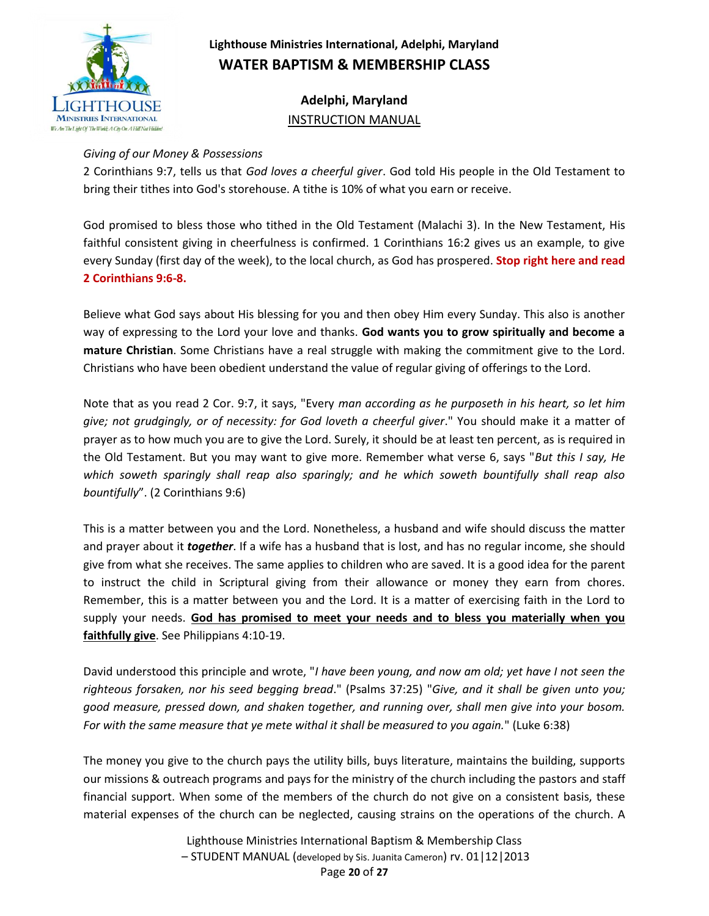

**Adelphi, Maryland** INSTRUCTION MANUAL

#### *Giving of our Money & Possessions*

2 Corinthians 9:7, tells us that *God loves a cheerful giver*. God told His people in the Old Testament to bring their tithes into God's storehouse. A tithe is 10% of what you earn or receive.

God promised to bless those who tithed in the Old Testament (Malachi 3). In the New Testament, His faithful consistent giving in cheerfulness is confirmed. 1 Corinthians 16:2 gives us an example, to give every Sunday (first day of the week), to the local church, as God has prospered. **Stop right here and read 2 Corinthians 9:6-8.**

Believe what God says about His blessing for you and then obey Him every Sunday. This also is another way of expressing to the Lord your love and thanks. **God wants you to grow spiritually and become a mature Christian**. Some Christians have a real struggle with making the commitment give to the Lord. Christians who have been obedient understand the value of regular giving of offerings to the Lord.

Note that as you read 2 Cor. 9:7, it says, "Every *man according as he purposeth in his heart, so let him give; not grudgingly, or of necessity: for God loveth a cheerful giver*." You should make it a matter of prayer as to how much you are to give the Lord. Surely, it should be at least ten percent, as is required in the Old Testament. But you may want to give more. Remember what verse 6, says "*But this I say, He which soweth sparingly shall reap also sparingly; and he which soweth bountifully shall reap also bountifully*". (2 Corinthians 9:6)

This is a matter between you and the Lord. Nonetheless, a husband and wife should discuss the matter and prayer about it *together*. If a wife has a husband that is lost, and has no regular income, she should give from what she receives. The same applies to children who are saved. It is a good idea for the parent to instruct the child in Scriptural giving from their allowance or money they earn from chores. Remember, this is a matter between you and the Lord. It is a matter of exercising faith in the Lord to supply your needs. **God has promised to meet your needs and to bless you materially when you faithfully give**. See Philippians 4:10-19.

David understood this principle and wrote, "*I have been young, and now am old; yet have I not seen the righteous forsaken, nor his seed begging bread*." (Psalms 37:25) "*Give, and it shall be given unto you; good measure, pressed down, and shaken together, and running over, shall men give into your bosom. For with the same measure that ye mete withal it shall be measured to you again.*" (Luke 6:38)

The money you give to the church pays the utility bills, buys literature, maintains the building, supports our missions & outreach programs and pays for the ministry of the church including the pastors and staff financial support. When some of the members of the church do not give on a consistent basis, these material expenses of the church can be neglected, causing strains on the operations of the church. A

> Lighthouse Ministries International Baptism & Membership Class – STUDENT MANUAL (developed by Sis. Juanita Cameron) rv. 01|12|2013 Page **20** of **27**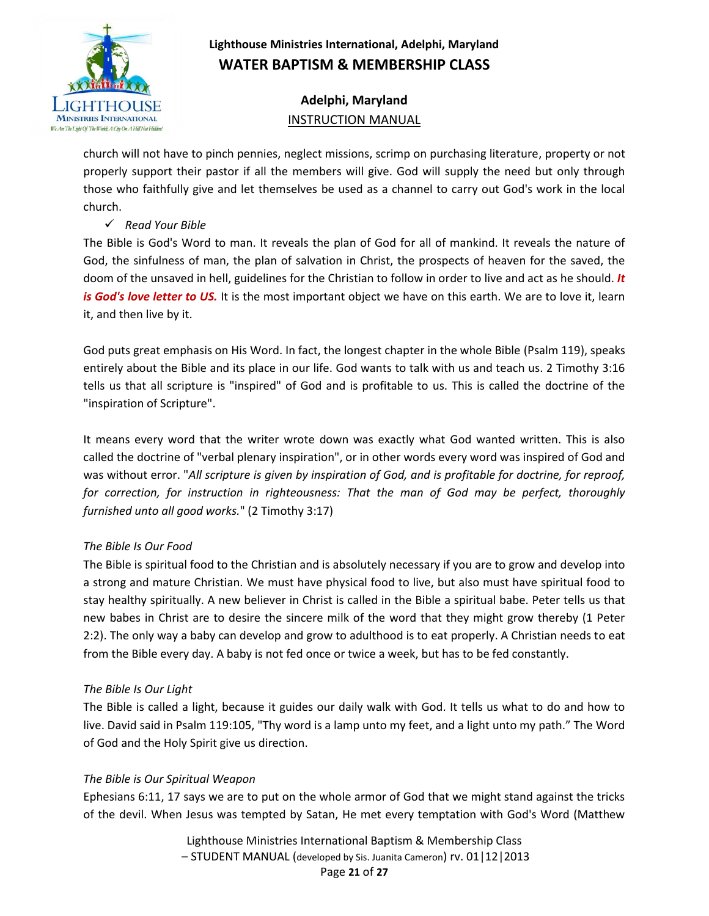

# **Adelphi, Maryland** INSTRUCTION MANUAL

church will not have to pinch pennies, neglect missions, scrimp on purchasing literature, property or not properly support their pastor if all the members will give. God will supply the need but only through those who faithfully give and let themselves be used as a channel to carry out God's work in the local church.

### *Read Your Bible*

The Bible is God's Word to man. It reveals the plan of God for all of mankind. It reveals the nature of God, the sinfulness of man, the plan of salvation in Christ, the prospects of heaven for the saved, the doom of the unsaved in hell, guidelines for the Christian to follow in order to live and act as he should. *It is God's love letter to US.* It is the most important object we have on this earth. We are to love it, learn it, and then live by it.

God puts great emphasis on His Word. In fact, the longest chapter in the whole Bible (Psalm 119), speaks entirely about the Bible and its place in our life. God wants to talk with us and teach us. 2 Timothy 3:16 tells us that all scripture is "inspired" of God and is profitable to us. This is called the doctrine of the "inspiration of Scripture".

It means every word that the writer wrote down was exactly what God wanted written. This is also called the doctrine of "verbal plenary inspiration", or in other words every word was inspired of God and was without error. "*All scripture is given by inspiration of God, and is profitable for doctrine, for reproof, for correction, for instruction in righteousness: That the man of God may be perfect, thoroughly furnished unto all good works.*" (2 Timothy 3:17)

## *The Bible Is Our Food*

The Bible is spiritual food to the Christian and is absolutely necessary if you are to grow and develop into a strong and mature Christian. We must have physical food to live, but also must have spiritual food to stay healthy spiritually. A new believer in Christ is called in the Bible a spiritual babe. Peter tells us that new babes in Christ are to desire the sincere milk of the word that they might grow thereby (1 Peter 2:2). The only way a baby can develop and grow to adulthood is to eat properly. A Christian needs to eat from the Bible every day. A baby is not fed once or twice a week, but has to be fed constantly.

### *The Bible Is Our Light*

The Bible is called a light, because it guides our daily walk with God. It tells us what to do and how to live. David said in Psalm 119:105, "Thy word is a lamp unto my feet, and a light unto my path." The Word of God and the Holy Spirit give us direction.

## *The Bible is Our Spiritual Weapon*

Ephesians 6:11, 17 says we are to put on the whole armor of God that we might stand against the tricks of the devil. When Jesus was tempted by Satan, He met every temptation with God's Word (Matthew

> Lighthouse Ministries International Baptism & Membership Class – STUDENT MANUAL (developed by Sis. Juanita Cameron) rv. 01|12|2013 Page **21** of **27**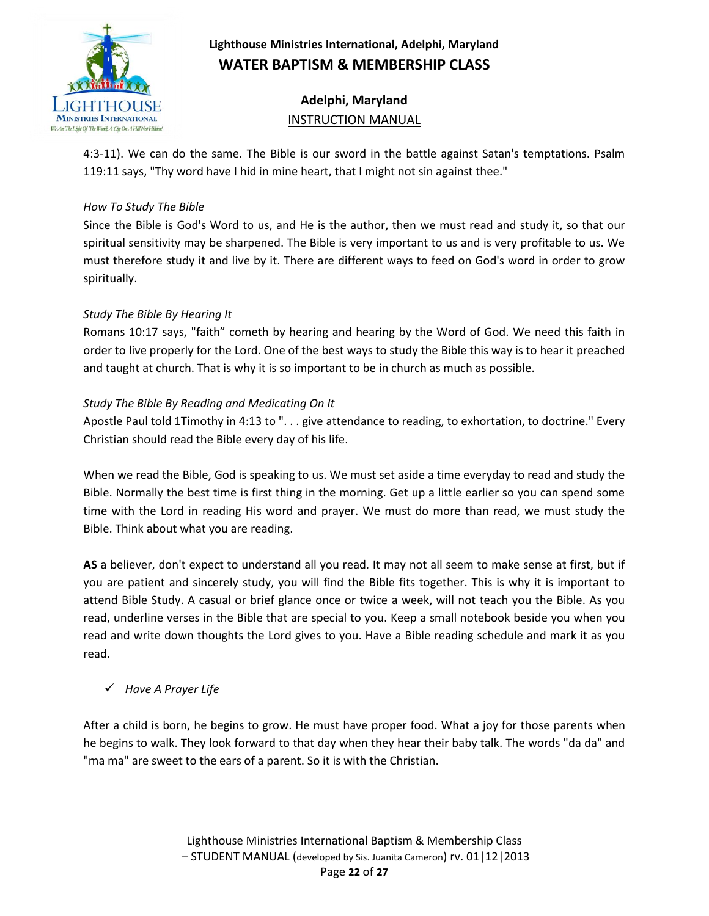

# **Adelphi, Maryland** INSTRUCTION MANUAL

4:3-11). We can do the same. The Bible is our sword in the battle against Satan's temptations. Psalm 119:11 says, "Thy word have I hid in mine heart, that I might not sin against thee."

#### *How To Study The Bible*

Since the Bible is God's Word to us, and He is the author, then we must read and study it, so that our spiritual sensitivity may be sharpened. The Bible is very important to us and is very profitable to us. We must therefore study it and live by it. There are different ways to feed on God's word in order to grow spiritually.

### *Study The Bible By Hearing It*

Romans 10:17 says, "faith" cometh by hearing and hearing by the Word of God. We need this faith in order to live properly for the Lord. One of the best ways to study the Bible this way is to hear it preached and taught at church. That is why it is so important to be in church as much as possible.

#### *Study The Bible By Reading and Medicating On It*

Apostle Paul told 1Timothy in 4:13 to ". . . give attendance to reading, to exhortation, to doctrine." Every Christian should read the Bible every day of his life.

When we read the Bible, God is speaking to us. We must set aside a time everyday to read and study the Bible. Normally the best time is first thing in the morning. Get up a little earlier so you can spend some time with the Lord in reading His word and prayer. We must do more than read, we must study the Bible. Think about what you are reading.

**AS** a believer, don't expect to understand all you read. It may not all seem to make sense at first, but if you are patient and sincerely study, you will find the Bible fits together. This is why it is important to attend Bible Study. A casual or brief glance once or twice a week, will not teach you the Bible. As you read, underline verses in the Bible that are special to you. Keep a small notebook beside you when you read and write down thoughts the Lord gives to you. Have a Bible reading schedule and mark it as you read.

### *Have A Prayer Life*

After a child is born, he begins to grow. He must have proper food. What a joy for those parents when he begins to walk. They look forward to that day when they hear their baby talk. The words "da da" and "ma ma" are sweet to the ears of a parent. So it is with the Christian.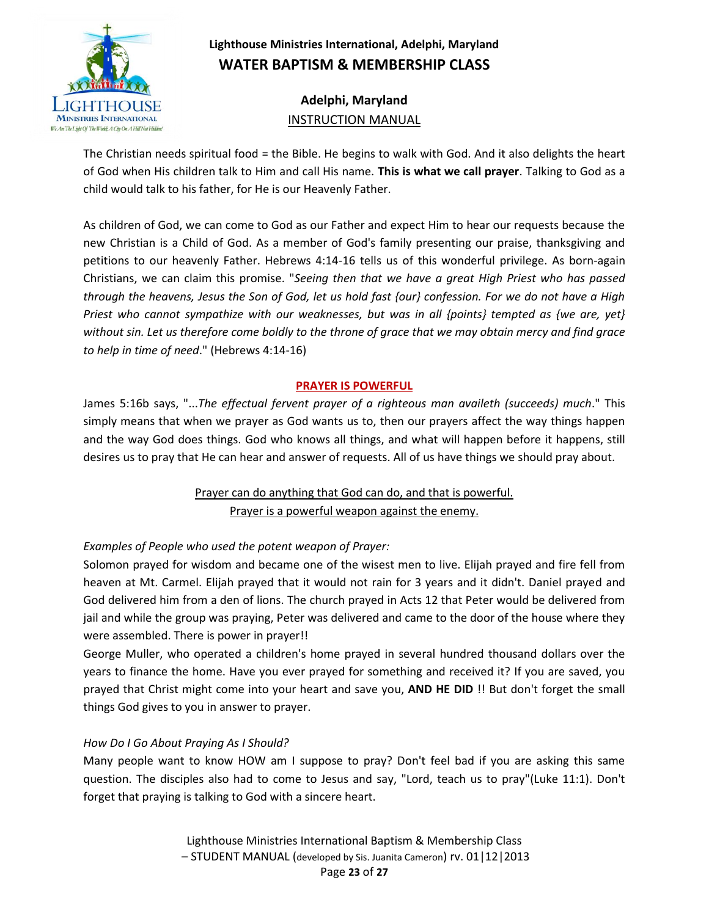

# **Adelphi, Maryland** INSTRUCTION MANUAL

The Christian needs spiritual food = the Bible. He begins to walk with God. And it also delights the heart of God when His children talk to Him and call His name. **This is what we call prayer**. Talking to God as a child would talk to his father, for He is our Heavenly Father.

As children of God, we can come to God as our Father and expect Him to hear our requests because the new Christian is a Child of God. As a member of God's family presenting our praise, thanksgiving and petitions to our heavenly Father. Hebrews 4:14-16 tells us of this wonderful privilege. As born-again Christians, we can claim this promise. "*Seeing then that we have a great High Priest who has passed through the heavens, Jesus the Son of God, let us hold fast {our} confession. For we do not have a High Priest who cannot sympathize with our weaknesses, but was in all {points} tempted as {we are, yet} without sin. Let us therefore come boldly to the throne of grace that we may obtain mercy and find grace to help in time of need*." (Hebrews 4:14-16)

### **PRAYER IS POWERFUL**

James 5:16b says, "...*The effectual fervent prayer of a righteous man availeth (succeeds) much*." This simply means that when we prayer as God wants us to, then our prayers affect the way things happen and the way God does things. God who knows all things, and what will happen before it happens, still desires us to pray that He can hear and answer of requests. All of us have things we should pray about.

## Prayer can do anything that God can do, and that is powerful. Prayer is a powerful weapon against the enemy.

## *Examples of People who used the potent weapon of Prayer:*

Solomon prayed for wisdom and became one of the wisest men to live. Elijah prayed and fire fell from heaven at Mt. Carmel. Elijah prayed that it would not rain for 3 years and it didn't. Daniel prayed and God delivered him from a den of lions. The church prayed in Acts 12 that Peter would be delivered from jail and while the group was praying, Peter was delivered and came to the door of the house where they were assembled. There is power in prayer!!

George Muller, who operated a children's home prayed in several hundred thousand dollars over the years to finance the home. Have you ever prayed for something and received it? If you are saved, you prayed that Christ might come into your heart and save you, **AND HE DID** !! But don't forget the small things God gives to you in answer to prayer.

### *How Do I Go About Praying As I Should?*

Many people want to know HOW am I suppose to pray? Don't feel bad if you are asking this same question. The disciples also had to come to Jesus and say, "Lord, teach us to pray"(Luke 11:1). Don't forget that praying is talking to God with a sincere heart.

> Lighthouse Ministries International Baptism & Membership Class – STUDENT MANUAL (developed by Sis. Juanita Cameron) rv. 01|12|2013 Page **23** of **27**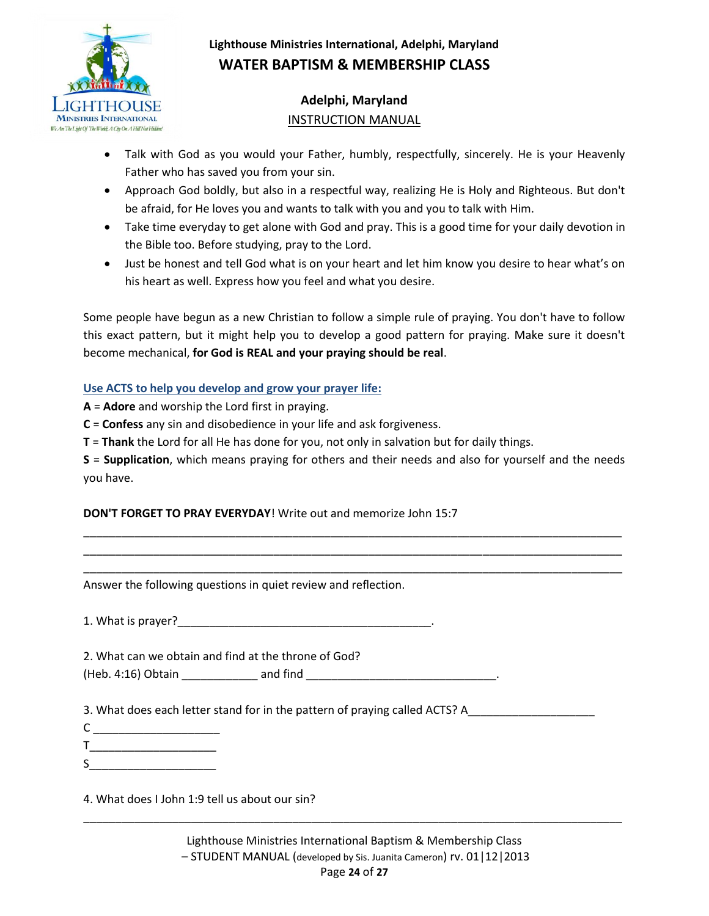

# **Adelphi, Maryland** INSTRUCTION MANUAL

- Talk with God as you would your Father, humbly, respectfully, sincerely. He is your Heavenly Father who has saved you from your sin.
- Approach God boldly, but also in a respectful way, realizing He is Holy and Righteous. But don't be afraid, for He loves you and wants to talk with you and you to talk with Him.
- Take time everyday to get alone with God and pray. This is a good time for your daily devotion in the Bible too. Before studying, pray to the Lord.
- Just be honest and tell God what is on your heart and let him know you desire to hear what's on his heart as well. Express how you feel and what you desire.

Some people have begun as a new Christian to follow a simple rule of praying. You don't have to follow this exact pattern, but it might help you to develop a good pattern for praying. Make sure it doesn't become mechanical, **for God is REAL and your praying should be real**.

### **Use ACTS to help you develop and grow your prayer life:**

**A** = **Adore** and worship the Lord first in praying.

**C** = **Confess** any sin and disobedience in your life and ask forgiveness.

**T** = **Thank** the Lord for all He has done for you, not only in salvation but for daily things.

**S** = **Supplication**, which means praying for others and their needs and also for yourself and the needs you have.

\_\_\_\_\_\_\_\_\_\_\_\_\_\_\_\_\_\_\_\_\_\_\_\_\_\_\_\_\_\_\_\_\_\_\_\_\_\_\_\_\_\_\_\_\_\_\_\_\_\_\_\_\_\_\_\_\_\_\_\_\_\_\_\_\_\_\_\_\_\_\_\_\_\_\_\_\_\_\_\_\_\_\_\_\_ \_\_\_\_\_\_\_\_\_\_\_\_\_\_\_\_\_\_\_\_\_\_\_\_\_\_\_\_\_\_\_\_\_\_\_\_\_\_\_\_\_\_\_\_\_\_\_\_\_\_\_\_\_\_\_\_\_\_\_\_\_\_\_\_\_\_\_\_\_\_\_\_\_\_\_\_\_\_\_\_\_\_\_\_\_ \_\_\_\_\_\_\_\_\_\_\_\_\_\_\_\_\_\_\_\_\_\_\_\_\_\_\_\_\_\_\_\_\_\_\_\_\_\_\_\_\_\_\_\_\_\_\_\_\_\_\_\_\_\_\_\_\_\_\_\_\_\_\_\_\_\_\_\_\_\_\_\_\_\_\_\_\_\_\_\_\_\_\_\_\_

### **DON'T FORGET TO PRAY EVERYDAY**! Write out and memorize John 15:7

Answer the following questions in quiet review and reflection.

1. What is prayer?

2. What can we obtain and find at the throne of God?

(Heb. 4:16) Obtain \_\_\_\_\_\_\_\_\_\_\_\_ and find \_\_\_\_\_\_\_\_\_\_\_\_\_\_\_\_\_\_\_\_\_\_\_\_\_\_\_\_\_\_.

3. What does each letter stand for in the pattern of praying called ACTS? A

- $C \sim$
- $\mathsf T$  and  $\mathsf T$  and  $\mathsf T$  are  $\mathsf T$  and  $\mathsf T$  are  $\mathsf T$  and  $\mathsf T$  are  $\mathsf T$  and  $\mathsf T$  are  $\mathsf T$  and  $\mathsf T$  are  $\mathsf T$  and  $\mathsf T$  are  $\mathsf T$  and  $\mathsf T$  are  $\mathsf T$  and  $\mathsf T$  are  $\mathsf T$  and  $\mathsf T$  are  $\mathsf T$  and

 $S$ 

4. What does I John 1:9 tell us about our sin?

\_\_\_\_\_\_\_\_\_\_\_\_\_\_\_\_\_\_\_\_\_\_\_\_\_\_\_\_\_\_\_\_\_\_\_\_\_\_\_\_\_\_\_\_\_\_\_\_\_\_\_\_\_\_\_\_\_\_\_\_\_\_\_\_\_\_\_\_\_\_\_\_\_\_\_\_\_\_\_\_\_\_\_\_\_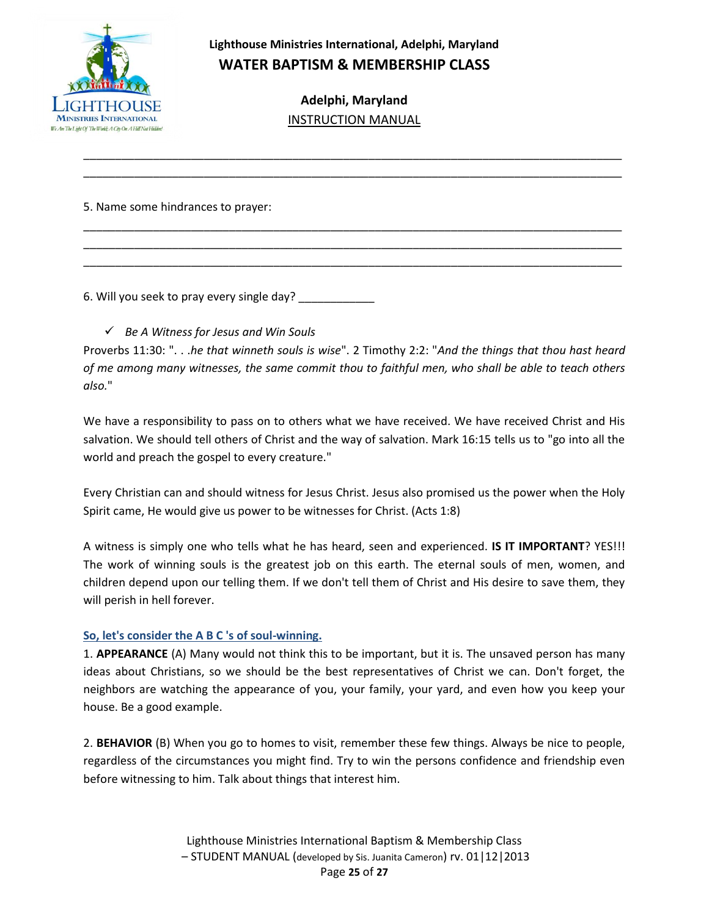

> **Adelphi, Maryland** INSTRUCTION MANUAL

\_\_\_\_\_\_\_\_\_\_\_\_\_\_\_\_\_\_\_\_\_\_\_\_\_\_\_\_\_\_\_\_\_\_\_\_\_\_\_\_\_\_\_\_\_\_\_\_\_\_\_\_\_\_\_\_\_\_\_\_\_\_\_\_\_\_\_\_\_\_\_\_\_\_\_\_\_\_\_\_\_\_\_\_\_ \_\_\_\_\_\_\_\_\_\_\_\_\_\_\_\_\_\_\_\_\_\_\_\_\_\_\_\_\_\_\_\_\_\_\_\_\_\_\_\_\_\_\_\_\_\_\_\_\_\_\_\_\_\_\_\_\_\_\_\_\_\_\_\_\_\_\_\_\_\_\_\_\_\_\_\_\_\_\_\_\_\_\_\_\_

\_\_\_\_\_\_\_\_\_\_\_\_\_\_\_\_\_\_\_\_\_\_\_\_\_\_\_\_\_\_\_\_\_\_\_\_\_\_\_\_\_\_\_\_\_\_\_\_\_\_\_\_\_\_\_\_\_\_\_\_\_\_\_\_\_\_\_\_\_\_\_\_\_\_\_\_\_\_\_\_\_\_\_\_\_ \_\_\_\_\_\_\_\_\_\_\_\_\_\_\_\_\_\_\_\_\_\_\_\_\_\_\_\_\_\_\_\_\_\_\_\_\_\_\_\_\_\_\_\_\_\_\_\_\_\_\_\_\_\_\_\_\_\_\_\_\_\_\_\_\_\_\_\_\_\_\_\_\_\_\_\_\_\_\_\_\_\_\_\_\_ \_\_\_\_\_\_\_\_\_\_\_\_\_\_\_\_\_\_\_\_\_\_\_\_\_\_\_\_\_\_\_\_\_\_\_\_\_\_\_\_\_\_\_\_\_\_\_\_\_\_\_\_\_\_\_\_\_\_\_\_\_\_\_\_\_\_\_\_\_\_\_\_\_\_\_\_\_\_\_\_\_\_\_\_\_

5. Name some hindrances to prayer:

6. Will you seek to pray every single day?

*Be A Witness for Jesus and Win Souls*

Proverbs 11:30: ". . .*he that winneth souls is wise*". 2 Timothy 2:2: "*And the things that thou hast heard of me among many witnesses, the same commit thou to faithful men, who shall be able to teach others also.*"

We have a responsibility to pass on to others what we have received. We have received Christ and His salvation. We should tell others of Christ and the way of salvation. Mark 16:15 tells us to "go into all the world and preach the gospel to every creature."

Every Christian can and should witness for Jesus Christ. Jesus also promised us the power when the Holy Spirit came, He would give us power to be witnesses for Christ. (Acts 1:8)

A witness is simply one who tells what he has heard, seen and experienced. **IS IT IMPORTANT**? YES!!! The work of winning souls is the greatest job on this earth. The eternal souls of men, women, and children depend upon our telling them. If we don't tell them of Christ and His desire to save them, they will perish in hell forever.

### **So, let's consider the A B C 's of soul-winning.**

1. **APPEARANCE** (A) Many would not think this to be important, but it is. The unsaved person has many ideas about Christians, so we should be the best representatives of Christ we can. Don't forget, the neighbors are watching the appearance of you, your family, your yard, and even how you keep your house. Be a good example.

2. **BEHAVIOR** (B) When you go to homes to visit, remember these few things. Always be nice to people, regardless of the circumstances you might find. Try to win the persons confidence and friendship even before witnessing to him. Talk about things that interest him.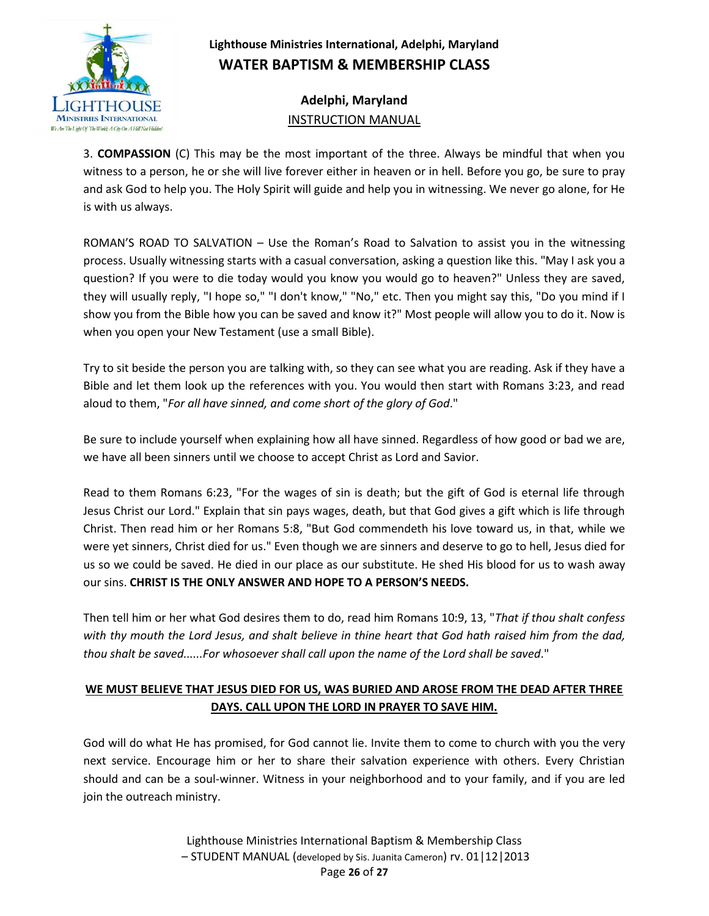

**Adelphi, Maryland** INSTRUCTION MANUAL

3. **COMPASSION** (C) This may be the most important of the three. Always be mindful that when you witness to a person, he or she will live forever either in heaven or in hell. Before you go, be sure to pray and ask God to help you. The Holy Spirit will guide and help you in witnessing. We never go alone, for He is with us always.

ROMAN'S ROAD TO SALVATION – Use the Roman's Road to Salvation to assist you in the witnessing process. Usually witnessing starts with a casual conversation, asking a question like this. "May I ask you a question? If you were to die today would you know you would go to heaven?" Unless they are saved, they will usually reply, "I hope so," "I don't know," "No," etc. Then you might say this, "Do you mind if I show you from the Bible how you can be saved and know it?" Most people will allow you to do it. Now is when you open your New Testament (use a small Bible).

Try to sit beside the person you are talking with, so they can see what you are reading. Ask if they have a Bible and let them look up the references with you. You would then start with Romans 3:23, and read aloud to them, "*For all have sinned, and come short of the glory of God*."

Be sure to include yourself when explaining how all have sinned. Regardless of how good or bad we are, we have all been sinners until we choose to accept Christ as Lord and Savior.

Read to them Romans 6:23, "For the wages of sin is death; but the gift of God is eternal life through Jesus Christ our Lord." Explain that sin pays wages, death, but that God gives a gift which is life through Christ. Then read him or her Romans 5:8, "But God commendeth his love toward us, in that, while we were yet sinners, Christ died for us." Even though we are sinners and deserve to go to hell, Jesus died for us so we could be saved. He died in our place as our substitute. He shed His blood for us to wash away our sins. **CHRIST IS THE ONLY ANSWER AND HOPE TO A PERSON'S NEEDS.**

Then tell him or her what God desires them to do, read him Romans 10:9, 13, "*That if thou shalt confess with thy mouth the Lord Jesus, and shalt believe in thine heart that God hath raised him from the dad, thou shalt be saved......For whosoever shall call upon the name of the Lord shall be saved*."

## **WE MUST BELIEVE THAT JESUS DIED FOR US, WAS BURIED AND AROSE FROM THE DEAD AFTER THREE DAYS. CALL UPON THE LORD IN PRAYER TO SAVE HIM.**

God will do what He has promised, for God cannot lie. Invite them to come to church with you the very next service. Encourage him or her to share their salvation experience with others. Every Christian should and can be a soul-winner. Witness in your neighborhood and to your family, and if you are led join the outreach ministry.

> Lighthouse Ministries International Baptism & Membership Class – STUDENT MANUAL (developed by Sis. Juanita Cameron) rv. 01|12|2013 Page **26** of **27**